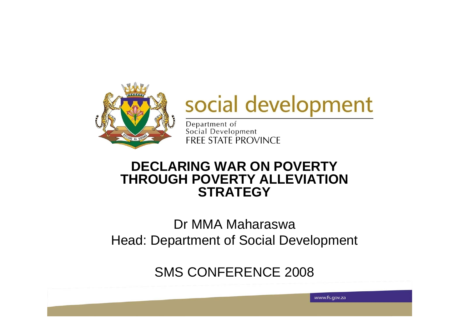

# social development

www.fs.gov.za

Department of<br>Social Development **FREE STATE PROVINCE** 

#### **DECLARING WAR ON POVERTY THROUGH POVERTY ALLEVIATION STRATEGY**

#### Dr MMA MaharaswaHead: Department of Social Development

SMS CONFERENCE 2008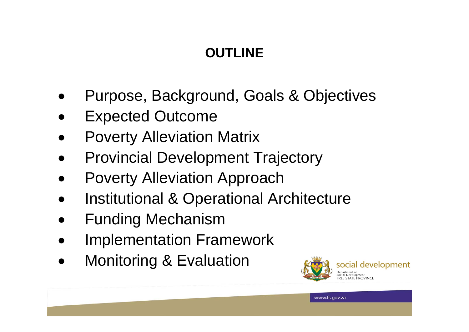### **OUTLINE**

 $$ 

- $\bullet$ Purpose, Background, Goals & Objectives
- $\bullet$ Expected Outcome
- $\bullet$ Poverty Alleviation Matrix
- $\bullet$ Provincial Development Trajectory
- $\bullet$ Poverty Alleviation Approach
- $\bullet$ Institutional & Operational Architecture
- $\bullet$ Funding Mechanism
- $\bullet$ Implementation Framework
- $\bullet$ Monitoring & Evaluation

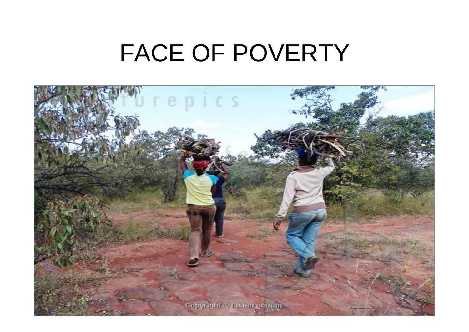# FACE OF POVERTY

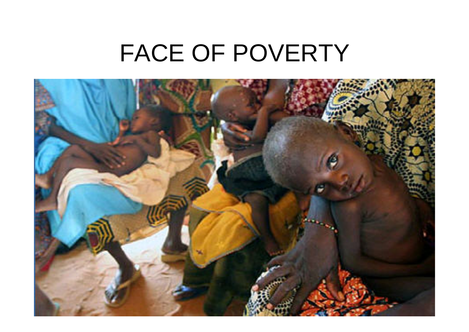# FACE OF POVERTY

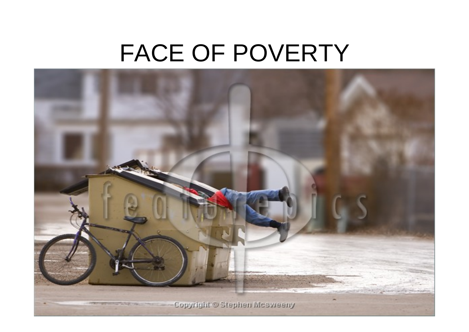# FACE OF POVERTY

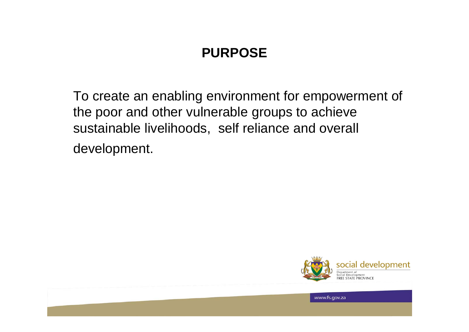#### **PURPOSE**

To create an enabling environment for empowerment of the poor and other vulnerable groups to achieve sustainable livelihoods, self reliance and overall development.



6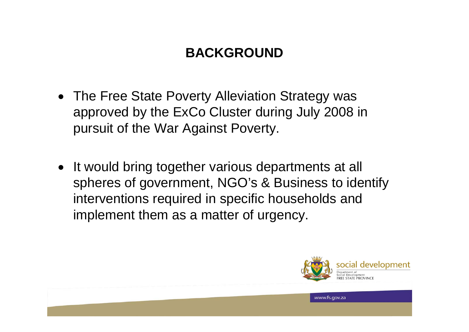#### **BACKGROUND**

- The Free State Poverty Alleviation Strategy was approved by the ExCo Cluster during July 2008 in pursuit of the War Against Poverty.
- It would bring together various departments at all spheres of government, NGO's & Business to identify interventions required in specific households and implement them as a matter of urgency.

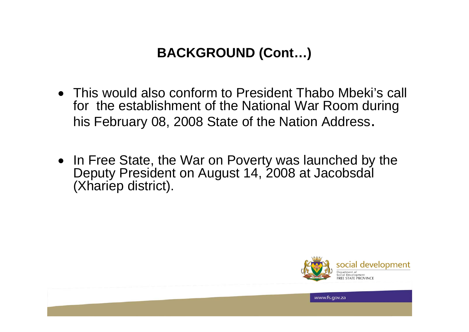#### **BACKGROUND (Cont…)**

- This would also conform to President Thabo Mbeki's call for the establishment of the National War Room during his February 08, 2008 State of the Nation Address.
- In Free State, the War on Poverty was launched by the Deputy President on August 14, 2008 at Jacobsdal (Xhariep district).



**8. In the contract of the contract of the contract of the contract of the contract of the contract of the contract of the contract of the contract of the contract of the contract of the contract of the contract of the con**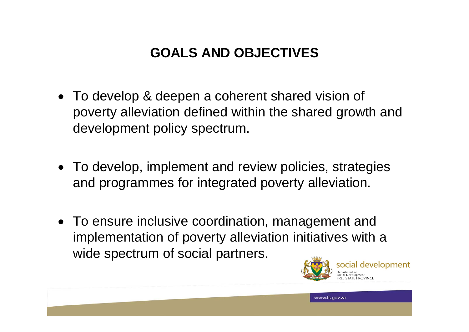### **GOALS AND OBJECTIVES**

- To develop & deepen a coherent shared vision of poverty alleviation defined within the shared growth and development policy spectrum.
- To develop, implement and review policies, strategies and programmes for integrated poverty alleviation.
- To ensure inclusive coordination, management and implementation of poverty alleviation initiatives with a wide spectrum of social partners.

**1999 MARK AND A START AND A START AND MONEY CONTROL CONTROL CONTROL CONTROL CONTROL CONTROL CONTROL CONTROL CONTROL CONTROL CONTROL CONTROL CONTROL CONTROL CONTROL CONTROL CONTROL CONTROL CONTROL CONTROL CONTROL CONTROL** 

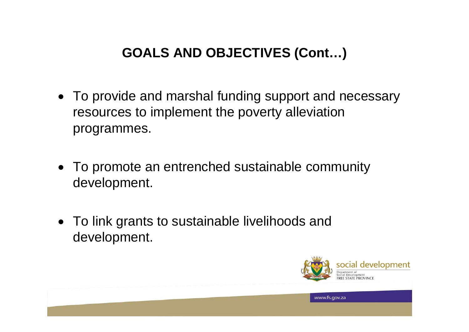### **GOALS AND OBJECTIVES (Cont…)**

- To provide and marshal funding support and necessary resources to implement the poverty alleviation programmes.
- To promote an entrenched sustainable community development.
- To link grants to sustainable livelihoods and development.

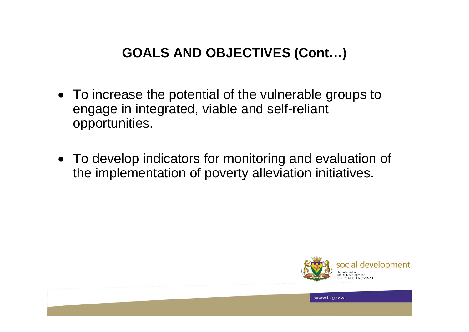#### **GOALS AND OBJECTIVES (Cont…)**

- To increase the potential of the vulnerable groups to engage in integrated, viable and self-reliant opportunities.
- To develop indicators for monitoring and evaluation of the implementation of poverty alleviation initiatives.



11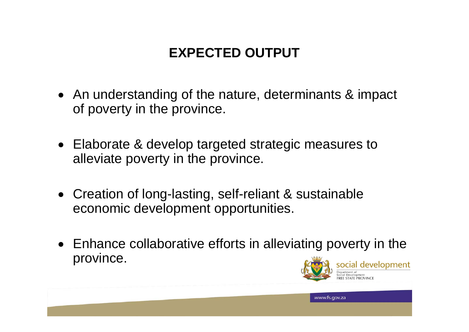### **EXPECTED OUTPUT**

- An understanding of the nature, determinants & impact of poverty in the province.
- Elaborate & develop targeted strategic measures to alleviate poverty in the province.
- Creation of long-lasting, self-reliant & sustainable economic development opportunities.
- Enhance collaborative efforts in alleviating poverty in the province. social development

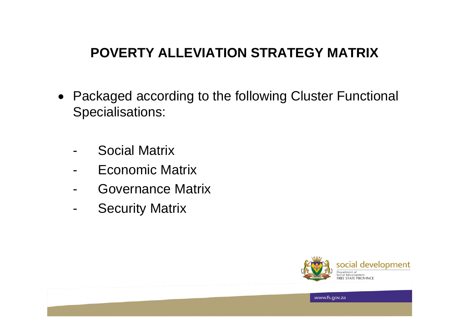#### **POVERTY ALLEVIATION STRATEGY MATRIX**

- Packaged according to the following Cluster Functional Specialisations:
	- Social Matrix
	- Economic Matrix
	- -Governance Matrix
	- -Security Matrix



13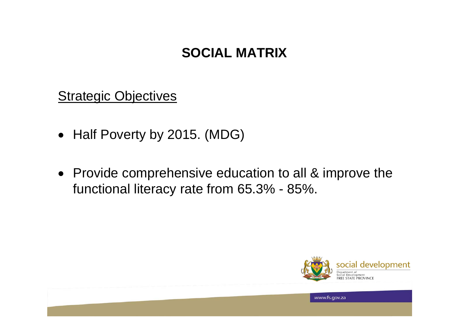#### **SOCIAL MATRIX**

**Strategic Objectives** 

- Half Poverty by 2015. (MDG)
- Provide comprehensive education to all & improve the functional literacy rate from 65.3% - 85%.



14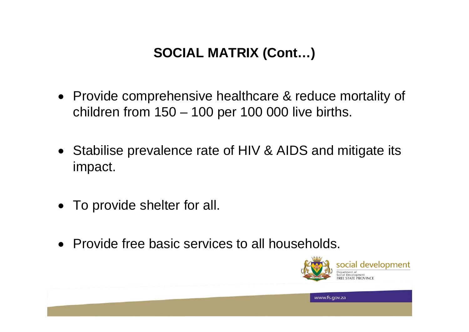### **SOCIAL MATRIX (Cont…)**

- Provide comprehensive healthcare & reduce mortality of children from 150 – 100 per 100 000 live births.
- Stabilise prevalence rate of HIV & AIDS and mitigate its impact.
- To provide shelter for all.
- Provide free basic services to all households.

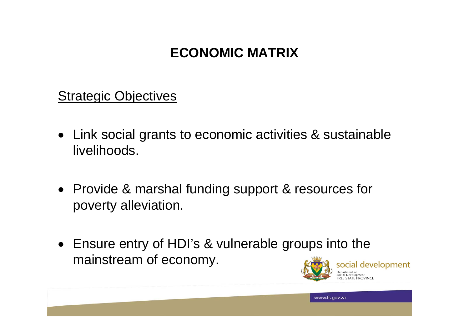#### **ECONOMIC MATRIX**

**Strategic Objectives** 

- Link social grants to economic activities & sustainable livelihoods.
- Provide & marshal funding support & resources for poverty alleviation.
- Ensure entry of HDI's & vulnerable groups into the mainstream of economy. social development

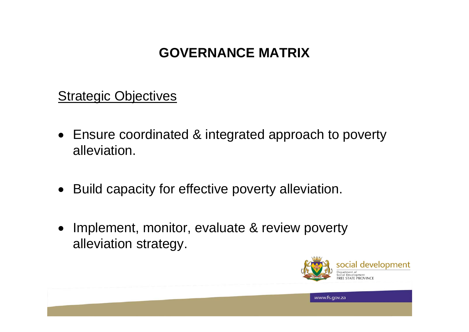#### **GOVERNANCE MATRIX**

**Strategic Objectives** 

- Ensure coordinated & integrated approach to poverty alleviation.
- Build capacity for effective poverty alleviation.
- Implement, monitor, evaluate & review poverty alleviation strategy.

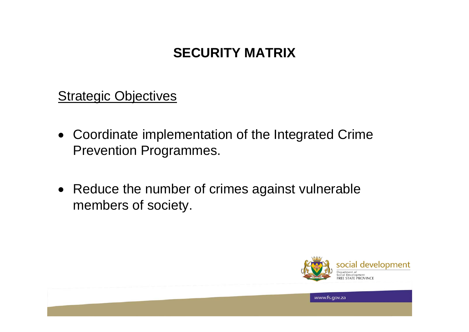#### **SECURITY MATRIX**

**Strategic Objectives** 

- Coordinate implementation of the Integrated Crime Prevention Programmes.
- Reduce the number of crimes against vulnerable members of society.



**1899 1899 1899 1899 1899 1899 1899 1899 1899 1899 1899 1899 1899 1899 1899 1899 1899**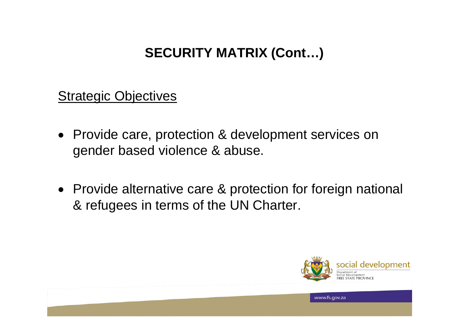#### **SECURITY MATRIX (Cont…)**

**Strategic Objectives** 

- Provide care, protection & development services on gender based violence & abuse.
- Provide alternative care & protection for foreign national & refugees in terms of the UN Charter.



**1999 1999 1999 1999 1999 1999 1999 1999 1999 1999 1999 1999 1999 1999 1999 1999 1999**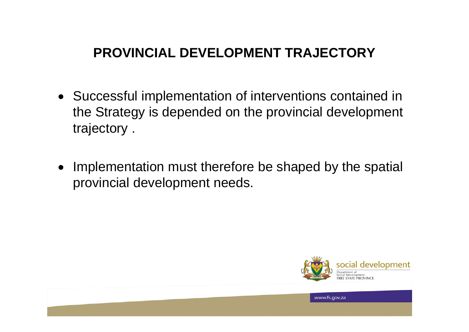#### **PROVINCIAL DEVELOPMENT TRAJECTORY**

- Successful implementation of interventions contained in the Strategy is depended on the provincial development trajectory .
- $\bullet$  Implementation must therefore be shaped by the spatial provincial development needs.



20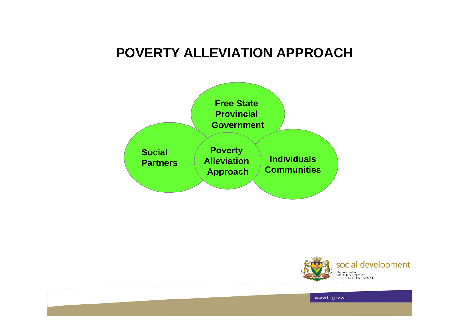#### **POVERTY ALLEVIATION APPROACH**





**21 April 2012 12:25 April 2013 12:25 April 2013 12:25 April 2013 12:25 April 2013 12:25 April 2013 12:25 April 2013**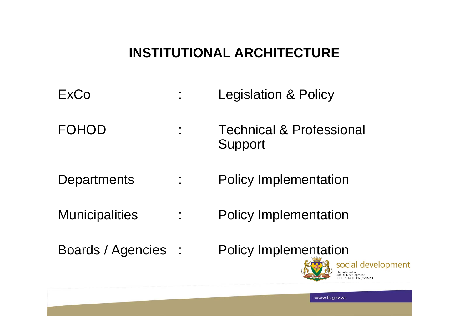#### **INSTITUTIONAL ARCHITECTURE**

- ExCo : Legislation & Policy
- FOHOD : Technical & Professional Support
- Departments : Policy Implementation
- Municipalities : Policy Implementation
- 
- Boards / Agencies : Policy Implementation



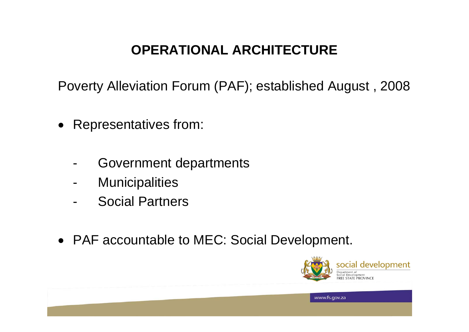### **OPERATIONAL ARCHITECTURE**

Poverty Alleviation Forum (PAF); established August , 2008

- $\bullet$  Representatives from:
	- -Government departments
	- -**Municipalities**
	- -Social Partners
- PAF accountable to MEC: Social Development.

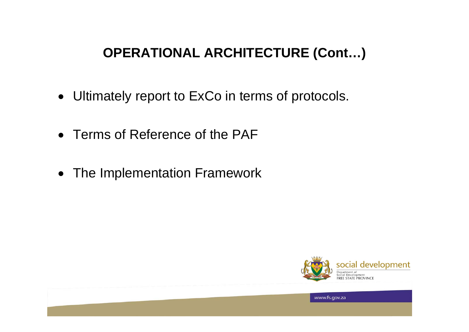#### **OPERATIONAL ARCHITECTURE (Cont…)**

- Ultimately report to ExCo in terms of protocols.
- Terms of Reference of the PAF
- The Implementation Framework



**24 November 2018 19:20 November 2018 19:20 November 2018 19:20 November 2018 19:20 November 2019 19:20 November 2019**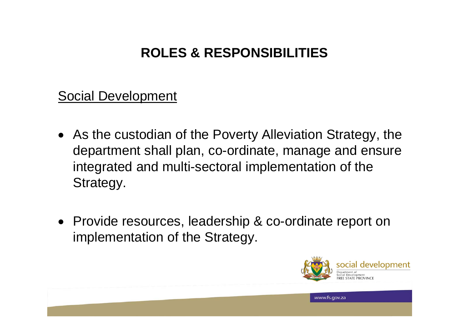#### **ROLES & RESPONSIBILITIES**

Social Development

- As the custodian of the Poverty Alleviation Strategy, the department shall plan, co-ordinate, manage and ensure integrated and multi-sectoral implementation of the Strategy.
- Provide resources, leadership & co-ordinate report on implementation of the Strategy.

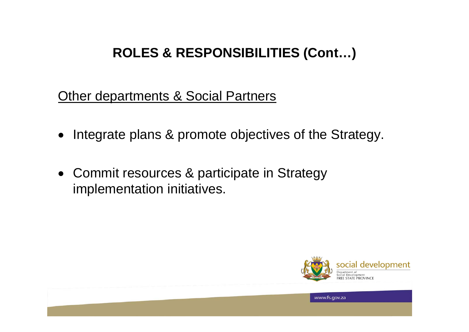#### **ROLES & RESPONSIBILITIES (Cont…)**

**Other departments & Social Partners** 

- Integrate plans & promote objectives of the Strategy.
- Commit resources & participate in Strategy implementation initiatives.



 $266$  www.fs.gov.za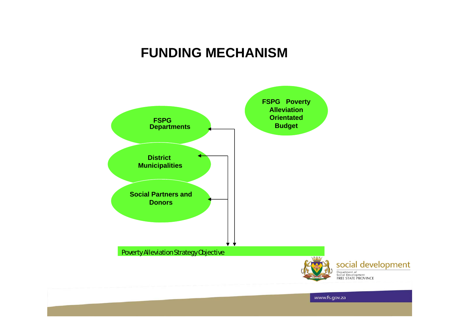#### **FUNDING MECHANISM**

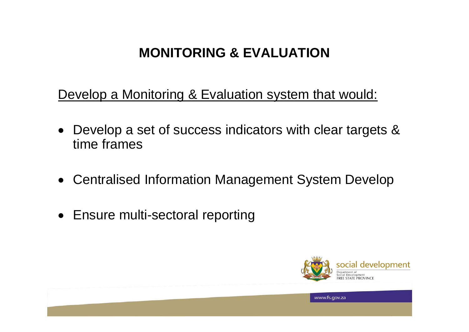#### **MONITORING & EVALUATION**

Develop a Monitoring & Evaluation system that would:

- Develop a set of success indicators with clear targets & time frames
- Centralised Information Management System Develop
- Ensure multi-sectoral reporting

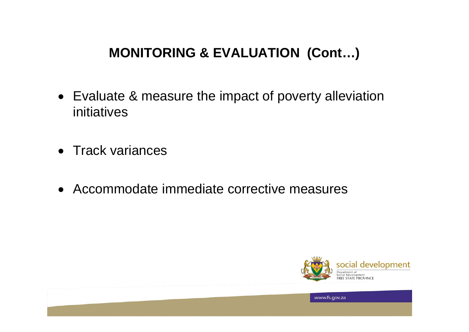#### **MONITORING & EVALUATION (Cont…)**

- Evaluate & measure the impact of poverty alleviation initiatives
- Track variances
- Accommodate immediate corrective measures



**29 November 2008 29 November 2009 29 November 2009 29 November 2009 29 November 2009**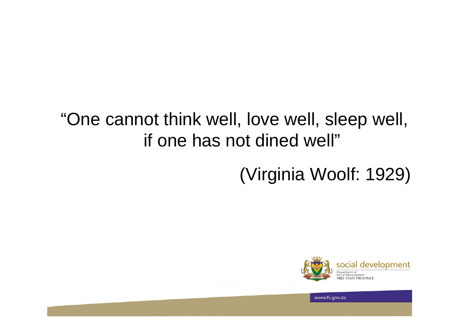### "One cannot think well, love well, sleep well, if one has not dined well"

## (Virginia Woolf: 1929)



 $300 \times 10^{-10}$   $300 \times 10^{-10}$   $300 \times 20^{-10}$   $300 \times 20^{-10}$   $300 \times 20^{-10}$